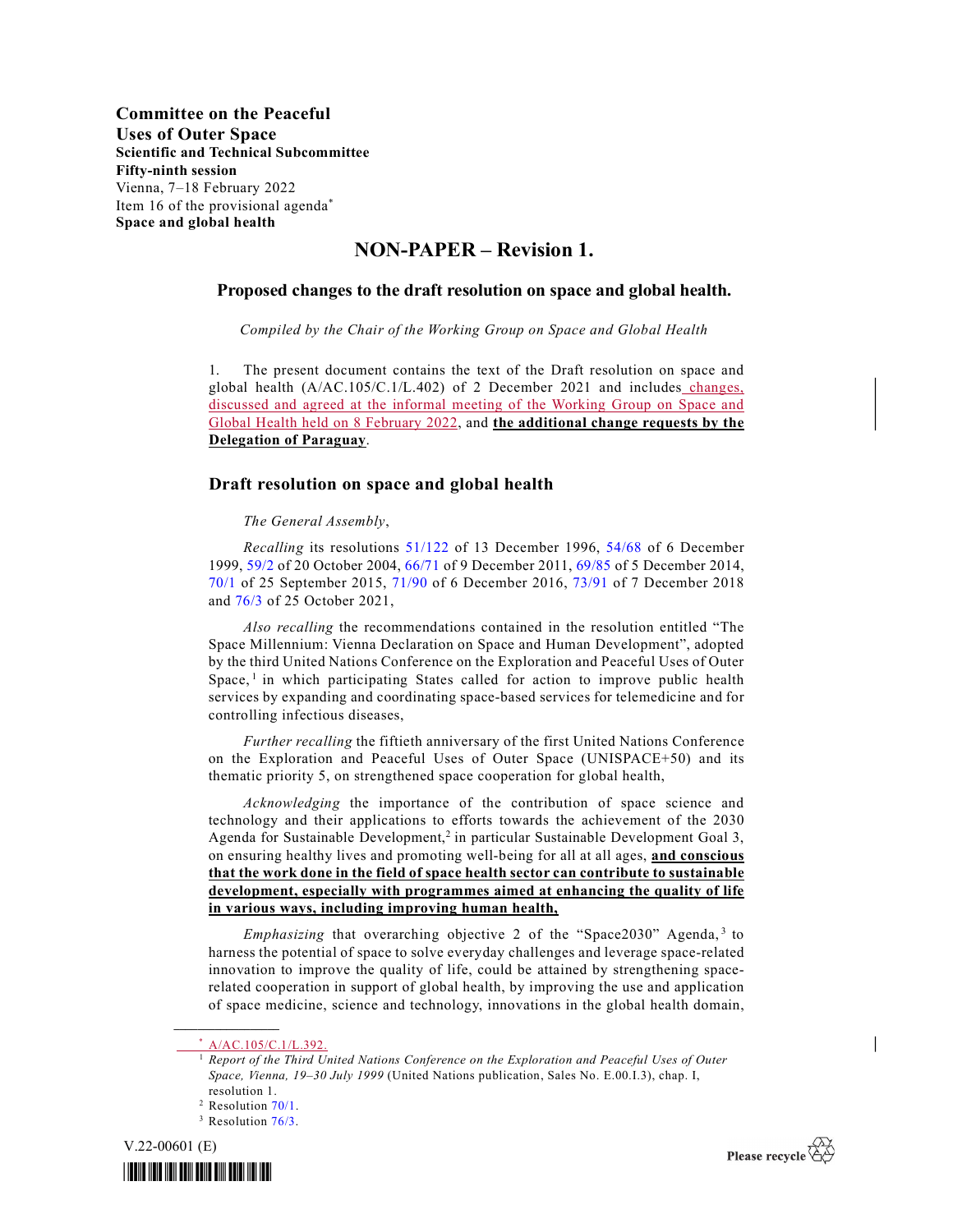## NON-PAPER – Revision 1.

## Proposed changes to the draft resolution on space and global health.

Compiled by the Chair of the Working Group on Space and Global Health

1. The present document contains the text of the Draft resolution on space and global health (A/AC.105/C.1/L.402) of 2 December 2021 and includes changes, discussed and agreed at the informal meeting of the Working Group on Space and Global Health held on 8 February 2022, and the additional change requests by the Delegation of Paraguay.

## Draft resolution on space and global health

The General Assembly,

Recalling its resolutions 51/122 of 13 December 1996, 54/68 of 6 December 1999, 59/2 of 20 October 2004, 66/71 of 9 December 2011, 69/85 of 5 December 2014, 70/1 of 25 September 2015, 71/90 of 6 December 2016, 73/91 of 7 December 2018 and 76/3 of 25 October 2021,

 Also recalling the recommendations contained in the resolution entitled "The Space Millennium: Vienna Declaration on Space and Human Development", adopted by the third United Nations Conference on the Exploration and Peaceful Uses of Outer Space,<sup>1</sup> in which participating States called for action to improve public health services by expanding and coordinating space-based services for telemedicine and for controlling infectious diseases,

 Further recalling the fiftieth anniversary of the first United Nations Conference on the Exploration and Peaceful Uses of Outer Space (UNISPACE+50) and its thematic priority 5, on strengthened space cooperation for global health,

Acknowledging the importance of the contribution of space science and technology and their applications to efforts towards the achievement of the 2030 Agenda for Sustainable Development,<sup>2</sup> in particular Sustainable Development Goal 3, on ensuring healthy lives and promoting well-being for all at all ages, and conscious that the work done in the field of space health sector can contribute to sustainable development, especially with programmes aimed at enhancing the quality of life in various ways, including improving human health,

Emphasizing that overarching objective 2 of the "Space2030" Agenda,<sup>3</sup> to harness the potential of space to solve everyday challenges and leverage space-related innovation to improve the quality of life, could be attained by strengthening spacerelated cooperation in support of global health, by improving the use and application of space medicine, science and technology, innovations in the global health domain,

 $\_$ 

<sup>&</sup>lt;sup>3</sup> Resolution 76/3.







 $\overline{\phantom{a}}$ 

A/AC.105/C.1/L.392.

<sup>1</sup> Report of the Third United Nations Conference on the Exploration and Peaceful Uses of Outer Space, Vienna, 19–30 July 1999 (United Nations publication, Sales No. E.00.I.3), chap. I, resolution 1.

<sup>&</sup>lt;sup>2</sup> Resolution 70/1.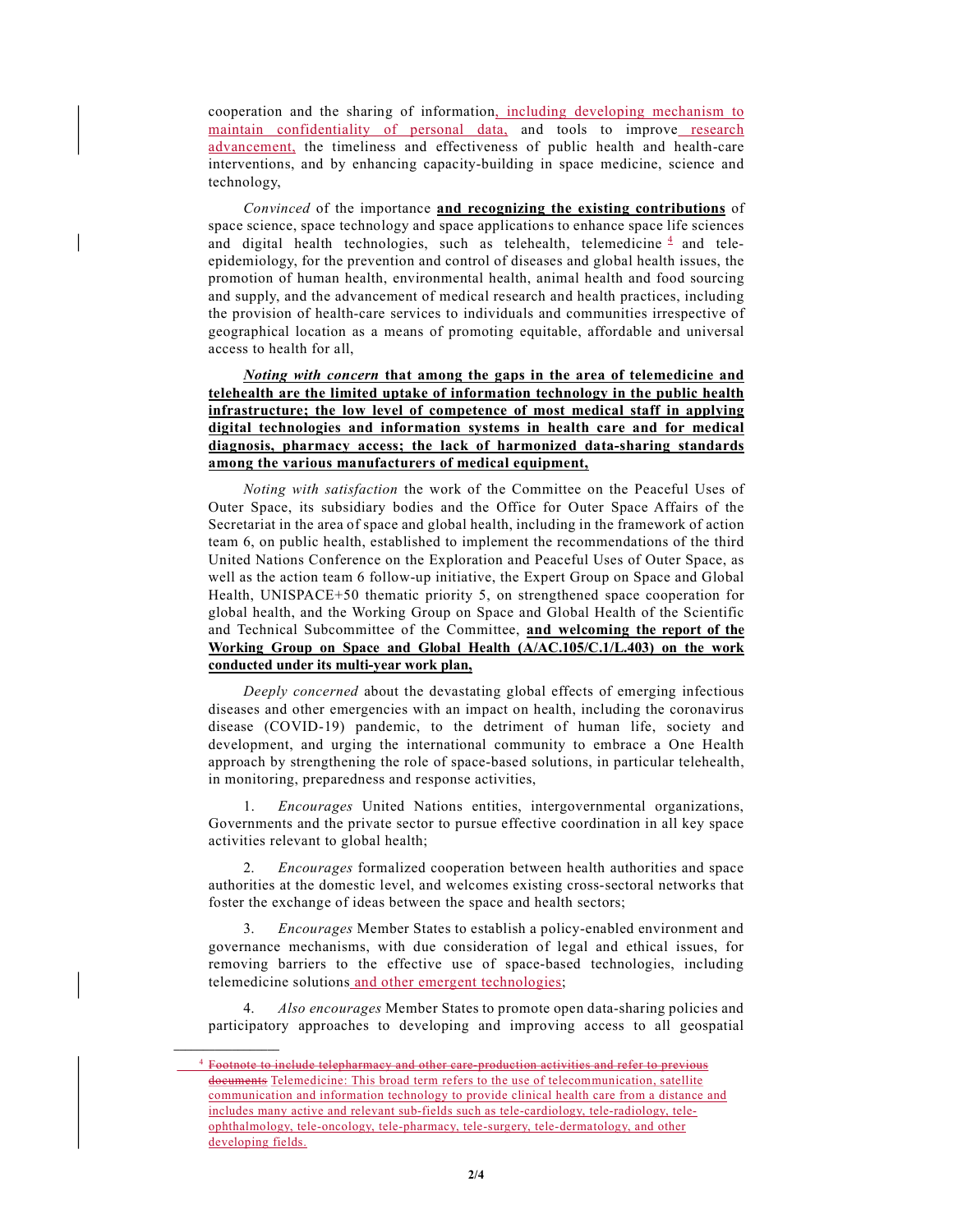cooperation and the sharing of information, including developing mechanism to maintain confidentiality of personal data, and tools to improve research advancement, the timeliness and effectiveness of public health and health-care interventions, and by enhancing capacity-building in space medicine, science and technology,

 Convinced of the importance and recognizing the existing contributions of space science, space technology and space applications to enhance space life sciences and digital health technologies, such as telehealth, telemedicine  $\frac{4}{3}$  and teleepidemiology, for the prevention and control of diseases and global health issues, the promotion of human health, environmental health, animal health and food sourcing and supply, and the advancement of medical research and health practices, including the provision of health-care services to individuals and communities irrespective of geographical location as a means of promoting equitable, affordable and universal access to health for all,

## Noting with concern that among the gaps in the area of telemedicine and telehealth are the limited uptake of information technology in the public health infrastructure; the low level of competence of most medical staff in applying digital technologies and information systems in health care and for medical diagnosis, pharmacy access; the lack of harmonized data-sharing standards among the various manufacturers of medical equipment,

 Noting with satisfaction the work of the Committee on the Peaceful Uses of Outer Space, its subsidiary bodies and the Office for Outer Space Affairs of the Secretariat in the area of space and global health, including in the framework of action team 6, on public health, established to implement the recommendations of the third United Nations Conference on the Exploration and Peaceful Uses of Outer Space, as well as the action team 6 follow-up initiative, the Expert Group on Space and Global Health, UNISPACE+50 thematic priority 5, on strengthened space cooperation for global health, and the Working Group on Space and Global Health of the Scientific and Technical Subcommittee of the Committee, and welcoming the report of the Working Group on Space and Global Health (A/AC.105/C.1/L.403) on the work conducted under its multi-year work plan,

 Deeply concerned about the devastating global effects of emerging infectious diseases and other emergencies with an impact on health, including the coronavirus disease (COVID-19) pandemic, to the detriment of human life, society and development, and urging the international community to embrace a One Health approach by strengthening the role of space-based solutions, in particular telehealth, in monitoring, preparedness and response activities,

 1. Encourages United Nations entities, intergovernmental organizations, Governments and the private sector to pursue effective coordination in all key space activities relevant to global health;

2. Encourages formalized cooperation between health authorities and space authorities at the domestic level, and welcomes existing cross-sectoral networks that foster the exchange of ideas between the space and health sectors;

 3. Encourages Member States to establish a policy-enabled environment and governance mechanisms, with due consideration of legal and ethical issues, for removing barriers to the effective use of space-based technologies, including telemedicine solutions and other emergent technologies;

Also encourages Member States to promote open data-sharing policies and participatory approaches to developing and improving access to all geospatial

 $\mathcal{L}_\text{max}$ 

<sup>4</sup> Footnote to include telepharmacy and other care-production activities and refer to previous documents Telemedicine: This broad term refers to the use of telecommunication, satellite communication and information technology to provide clinical health care from a distance and includes many active and relevant sub-fields such as tele-cardiology, tele-radiology, teleophthalmology, tele-oncology, tele-pharmacy, tele-surgery, tele-dermatology, and other developing fields.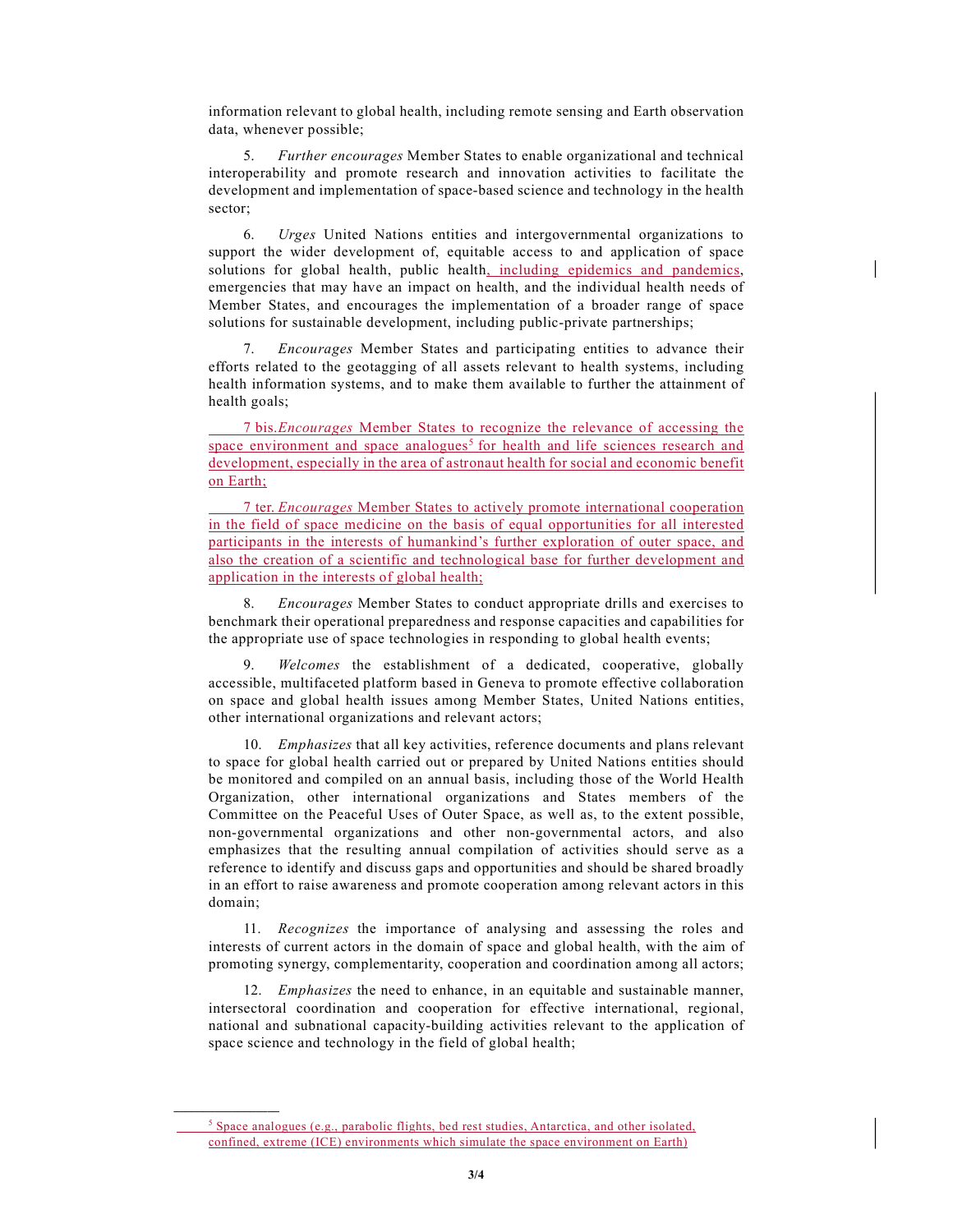information relevant to global health, including remote sensing and Earth observation data, whenever possible;

5. Further encourages Member States to enable organizational and technical interoperability and promote research and innovation activities to facilitate the development and implementation of space-based science and technology in the health sector;

 6. Urges United Nations entities and intergovernmental organizations to support the wider development of, equitable access to and application of space solutions for global health, public health<u>, including epidemics and pandemics</u>, emergencies that may have an impact on health, and the individual health needs of Member States, and encourages the implementation of a broader range of space solutions for sustainable development, including public-private partnerships;

 7. Encourages Member States and participating entities to advance their efforts related to the geotagging of all assets relevant to health systems, including health information systems, and to make them available to further the attainment of health goals;

 7 bis. Encourages Member States to recognize the relevance of accessing the space environment and space analogues<sup>5</sup> for health and life sciences research and development, especially in the area of astronaut health for social and economic benefit on Earth;

 7 ter. Encourages Member States to actively promote international cooperation in the field of space medicine on the basis of equal opportunities for all interested participants in the interests of humankind's further exploration of outer space, and also the creation of a scientific and technological base for further development and application in the interests of global health;

8. Encourages Member States to conduct appropriate drills and exercises to benchmark their operational preparedness and response capacities and capabilities for the appropriate use of space technologies in responding to global health events;

9. Welcomes the establishment of a dedicated, cooperative, globally accessible, multifaceted platform based in Geneva to promote effective collaboration on space and global health issues among Member States, United Nations entities, other international organizations and relevant actors;

 10. Emphasizes that all key activities, reference documents and plans relevant to space for global health carried out or prepared by United Nations entities should be monitored and compiled on an annual basis, including those of the World Health Organization, other international organizations and States members of the Committee on the Peaceful Uses of Outer Space, as well as, to the extent possible, non-governmental organizations and other non-governmental actors, and also emphasizes that the resulting annual compilation of activities should serve as a reference to identify and discuss gaps and opportunities and should be shared broadly in an effort to raise awareness and promote cooperation among relevant actors in this domain;

 11. Recognizes the importance of analysing and assessing the roles and interests of current actors in the domain of space and global health, with the aim of promoting synergy, complementarity, cooperation and coordination among all actors;

12. Emphasizes the need to enhance, in an equitable and sustainable manner, intersectoral coordination and cooperation for effective international, regional, national and subnational capacity-building activities relevant to the application of space science and technology in the field of global health;

 $\_$ 

 $\frac{5}{5}$  Space analogues (e.g., parabolic flights, bed rest studies, Antarctica, and other isolated, confined, extreme (ICE) environments which simulate the space environment on Earth)